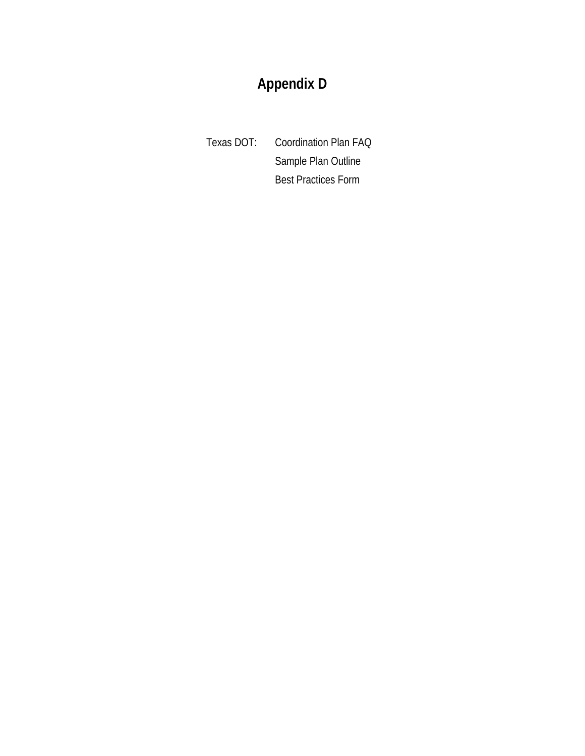# **Appendix D**

Texas DOT: Coordination Plan FAQ Sample Plan Outline Best Practices Form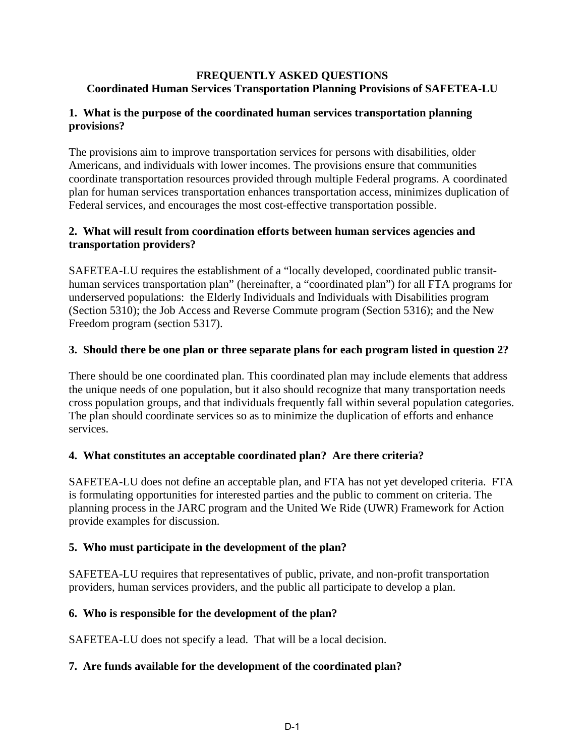#### **FREQUENTLY ASKED QUESTIONS Coordinated Human Services Transportation Planning Provisions of SAFETEA-LU**

#### **1. What is the purpose of the coordinated human services transportation planning provisions?**

The provisions aim to improve transportation services for persons with disabilities, older Americans, and individuals with lower incomes. The provisions ensure that communities coordinate transportation resources provided through multiple Federal programs. A coordinated plan for human services transportation enhances transportation access, minimizes duplication of Federal services, and encourages the most cost-effective transportation possible.

#### **2. What will result from coordination efforts between human services agencies and transportation providers?**

SAFETEA-LU requires the establishment of a "locally developed, coordinated public transithuman services transportation plan" (hereinafter, a "coordinated plan") for all FTA programs for underserved populations: the Elderly Individuals and Individuals with Disabilities program (Section 5310); the Job Access and Reverse Commute program (Section 5316); and the New Freedom program (section 5317).

#### **3. Should there be one plan or three separate plans for each program listed in question 2?**

There should be one coordinated plan. This coordinated plan may include elements that address the unique needs of one population, but it also should recognize that many transportation needs cross population groups, and that individuals frequently fall within several population categories. The plan should coordinate services so as to minimize the duplication of efforts and enhance services.

### **4. What constitutes an acceptable coordinated plan? Are there criteria?**

SAFETEA-LU does not define an acceptable plan, and FTA has not yet developed criteria. FTA is formulating opportunities for interested parties and the public to comment on criteria. The planning process in the JARC program and the United We Ride (UWR) Framework for Action provide examples for discussion.

### **5. Who must participate in the development of the plan?**

SAFETEA-LU requires that representatives of public, private, and non-profit transportation providers, human services providers, and the public all participate to develop a plan.

### **6. Who is responsible for the development of the plan?**

SAFETEA-LU does not specify a lead. That will be a local decision.

### **7. Are funds available for the development of the coordinated plan?**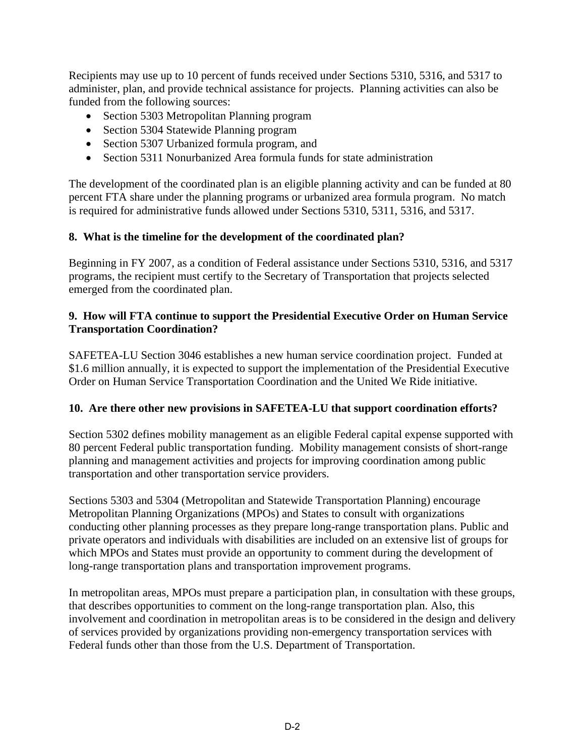Recipients may use up to 10 percent of funds received under Sections 5310, 5316, and 5317 to administer, plan, and provide technical assistance for projects. Planning activities can also be funded from the following sources:

- Section 5303 Metropolitan Planning program
- Section 5304 Statewide Planning program
- Section 5307 Urbanized formula program, and
- Section 5311 Nonurbanized Area formula funds for state administration

The development of the coordinated plan is an eligible planning activity and can be funded at 80 percent FTA share under the planning programs or urbanized area formula program. No match is required for administrative funds allowed under Sections 5310, 5311, 5316, and 5317.

### **8. What is the timeline for the development of the coordinated plan?**

Beginning in FY 2007, as a condition of Federal assistance under Sections 5310, 5316, and 5317 programs, the recipient must certify to the Secretary of Transportation that projects selected emerged from the coordinated plan.

#### **9. How will FTA continue to support the Presidential Executive Order on Human Service Transportation Coordination?**

SAFETEA-LU Section 3046 establishes a new human service coordination project. Funded at \$1.6 million annually, it is expected to support the implementation of the Presidential Executive Order on Human Service Transportation Coordination and the United We Ride initiative.

### **10. Are there other new provisions in SAFETEA-LU that support coordination efforts?**

Section 5302 defines mobility management as an eligible Federal capital expense supported with 80 percent Federal public transportation funding. Mobility management consists of short-range planning and management activities and projects for improving coordination among public transportation and other transportation service providers.

Sections 5303 and 5304 (Metropolitan and Statewide Transportation Planning) encourage Metropolitan Planning Organizations (MPOs) and States to consult with organizations conducting other planning processes as they prepare long-range transportation plans. Public and private operators and individuals with disabilities are included on an extensive list of groups for which MPOs and States must provide an opportunity to comment during the development of long-range transportation plans and transportation improvement programs.

In metropolitan areas, MPOs must prepare a participation plan, in consultation with these groups, that describes opportunities to comment on the long-range transportation plan. Also, this involvement and coordination in metropolitan areas is to be considered in the design and delivery of services provided by organizations providing non-emergency transportation services with Federal funds other than those from the U.S. Department of Transportation.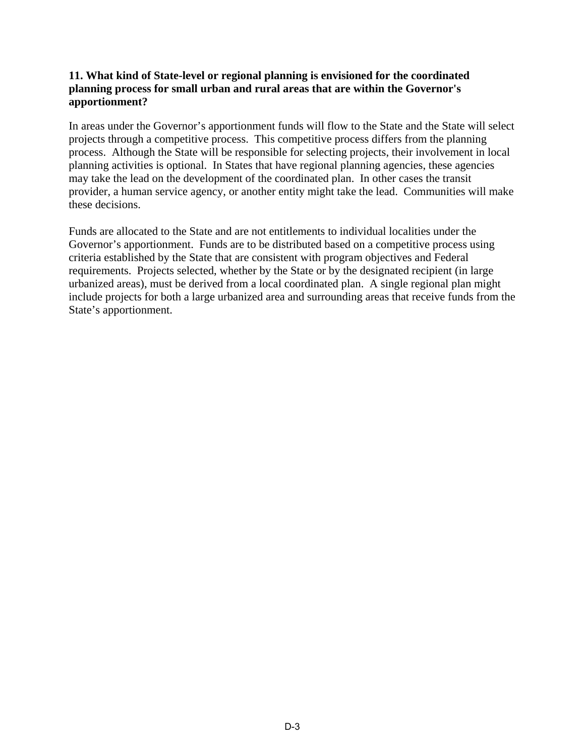#### **11. What kind of State-level or regional planning is envisioned for the coordinated planning process for small urban and rural areas that are within the Governor's apportionment?**

In areas under the Governor's apportionment funds will flow to the State and the State will select projects through a competitive process. This competitive process differs from the planning process. Although the State will be responsible for selecting projects, their involvement in local planning activities is optional. In States that have regional planning agencies, these agencies may take the lead on the development of the coordinated plan. In other cases the transit provider, a human service agency, or another entity might take the lead. Communities will make these decisions.

Funds are allocated to the State and are not entitlements to individual localities under the Governor's apportionment. Funds are to be distributed based on a competitive process using criteria established by the State that are consistent with program objectives and Federal requirements. Projects selected, whether by the State or by the designated recipient (in large urbanized areas), must be derived from a local coordinated plan. A single regional plan might include projects for both a large urbanized area and surrounding areas that receive funds from the State's apportionment.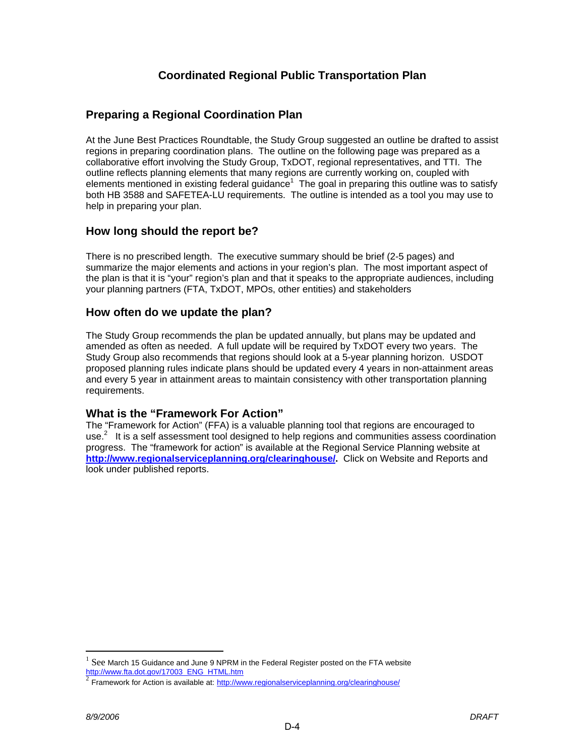## **Coordinated Regional Public Transportation Plan**

### **Preparing a Regional Coordination Plan**

At the June Best Practices Roundtable, the Study Group suggested an outline be drafted to assist regions in preparing coordination plans. The outline on the following page was prepared as a collaborative effort involving the Study Group, TxDOT, regional representatives, and TTI. The outline reflects planning elements that many regions are currently working on, coupled with elements mentioned in existing federal guidance<sup>1</sup> The goal in preparing this outline was to satisfy both HB 3588 and SAFETEA-LU requirements. The outline is intended as a tool you may use to help in preparing your plan.

### **How long should the report be?**

There is no prescribed length. The executive summary should be brief (2-5 pages) and summarize the major elements and actions in your region's plan. The most important aspect of the plan is that it is "your" region's plan and that it speaks to the appropriate audiences, including your planning partners (FTA, TxDOT, MPOs, other entities) and stakeholders

#### **How often do we update the plan?**

The Study Group recommends the plan be updated annually, but plans may be updated and amended as often as needed. A full update will be required by TxDOT every two years. The Study Group also recommends that regions should look at a 5-year planning horizon. USDOT proposed planning rules indicate plans should be updated every 4 years in non-attainment areas and every 5 year in attainment areas to maintain consistency with other transportation planning requirements.

### **What is the "Framework For Action"**

The "Framework for Action" (FFA) is a valuable planning tool that regions are encouraged to use. $2$  It is a self assessment tool designed to help regions and communities assess coordination progress. The "framework for action" is available at the Regional Service Planning website at **[http://www.regionalserviceplanning.org/clearinghouse/.](http://www.regionalserviceplanning.org/clearinghouse/)** Click on Website and Reports and look under published reports.

 $\overline{a}$ 

<sup>1</sup> See March 15 Guidance and June 9 NPRM in the Federal Register posted on the FTA website [http://www.fta.dot.gov/17003\\_ENG\\_HTML.htm](http://www.fta.dot.gov/17003_ENG_HTML.htm)

 $^2$  Framework for Action is available at: http://www.regionalserviceplanning.org/clearinghouse/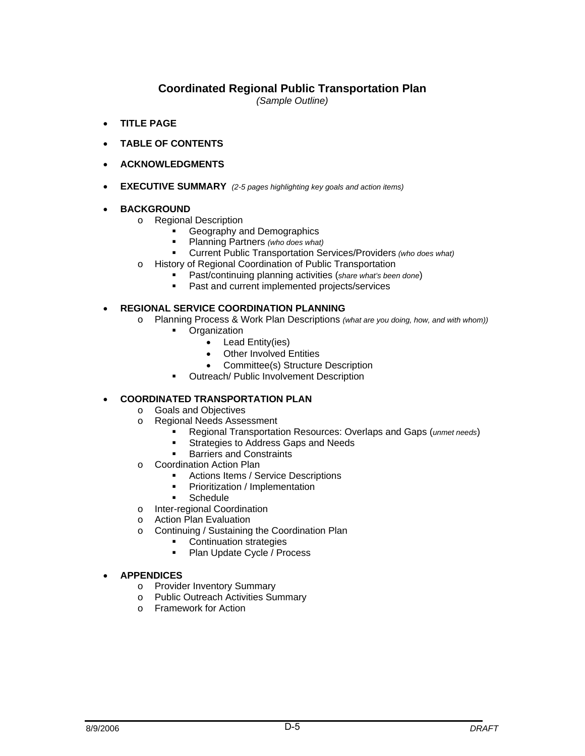## **Coordinated Regional Public Transportation Plan**

*(Sample Outline)* 

- **TITLE PAGE**
- **TABLE OF CONTENTS**
- **ACKNOWLEDGMENTS**
- **EXECUTIVE SUMMARY** *(2-5 pages highlighting key goals and action items)*

#### • **BACKGROUND**

- o Regional Description
	- Geography and Demographics
	- Planning Partners *(who does what)*
	- Current Public Transportation Services/Providers *(who does what)*
- o History of Regional Coordination of Public Transportation
	- **Past/continuing planning activities (***share what's been done*)<br>**Past and current implemented projects/services**
	- Past and current implemented projects/services

#### • **REGIONAL SERVICE COORDINATION PLANNING**

- o Planning Process & Work Plan Descriptions *(what are you doing, how, and with whom))*
	- **Organization** 
		- Lead Entity(ies)
		- Other Involved Entities
		- Committee(s) Structure Description
	- **•** Outreach/ Public Involvement Description

#### • **COORDINATED TRANSPORTATION PLAN**

- o Goals and Objectives
- o Regional Needs Assessment
	- Regional Transportation Resources: Overlaps and Gaps (*unmet needs*)
	- **Strategies to Address Gaps and Needs**
	- Barriers and Constraints
- o Coordination Action Plan
	- Actions Items / Service Descriptions
	- Prioritization / Implementation
	- **Schedule**
- o Inter-regional Coordination
- o Action Plan Evaluation
- o Continuing / Sustaining the Coordination Plan
	- **Continuation strategies**
	- Plan Update Cycle / Process

#### • **APPENDICES**

- o Provider Inventory Summary
- o Public Outreach Activities Summary
- o Framework for Action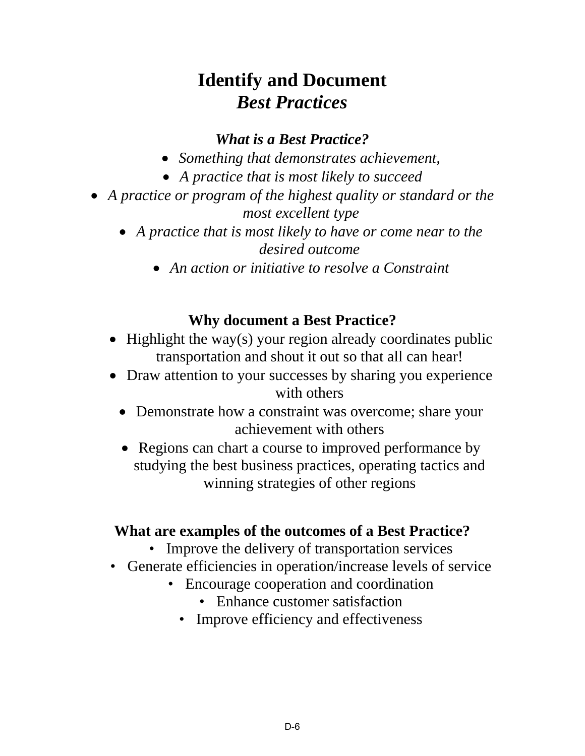# **Identify and Document**  *Best Practices*

## *What is a Best Practice?*

- *Something that demonstrates achievement,*
- *A practice that is most likely to succeed*
- *A practice or program of the highest quality or standard or the most excellent type* 
	- *A practice that is most likely to have or come near to the desired outcome* 
		- *An action or initiative to resolve a Constraint*

# **Why document a Best Practice?**

- Highlight the way(s) your region already coordinates public transportation and shout it out so that all can hear!
- Draw attention to your successes by sharing you experience with others
	- Demonstrate how a constraint was overcome; share your achievement with others
	- Regions can chart a course to improved performance by studying the best business practices, operating tactics and winning strategies of other regions

# **What are examples of the outcomes of a Best Practice?**

- Improve the delivery of transportation services
- Generate efficiencies in operation/increase levels of service
	- Encourage cooperation and coordination
		- Enhance customer satisfaction
		- Improve efficiency and effectiveness